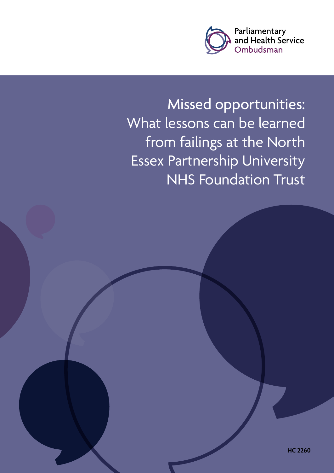

Missed opportunities: What lessons can be learned from failings at the North Essex Partnership University NHS Foundation Trust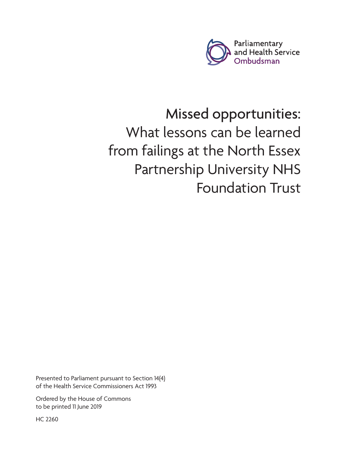

# Missed opportunities: What lessons can be learned from failings at the North Essex Partnership University NHS Foundation Trust

Presented to Parliament pursuant to Section 14(4) of the Health Service Commissioners Act 1993

Ordered by the House of Commons to be printed 11 June 2019

HC 2260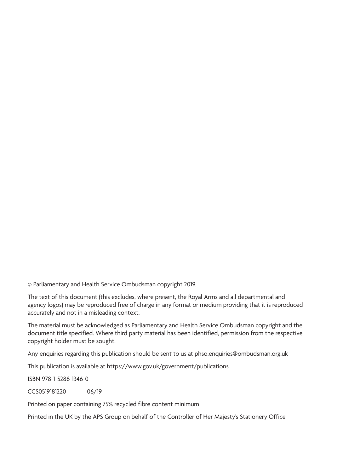© Parliamentary and Health Service Ombudsman copyright 2019.

The text of this document (this excludes, where present, the Royal Arms and all departmental and agency logos) may be reproduced free of charge in any format or medium providing that it is reproduced accurately and not in a misleading context.

The material must be acknowledged as Parliamentary and Health Service Ombudsman copyright and the document title specified. Where third party material has been identified, permission from the respective copyright holder must be sought.

Any enquiries regarding this publication should be sent to us at phso.enquiries@ombudsman.org.uk

This publication is available at<https://www.gov.uk/government/publications>

ISBN 978-1-5286-1346-0

CCS0519181220 06/19

Printed on paper containing 75% recycled fibre content minimum

Printed in the UK by the APS Group on behalf of the Controller of Her Majesty's Stationery Office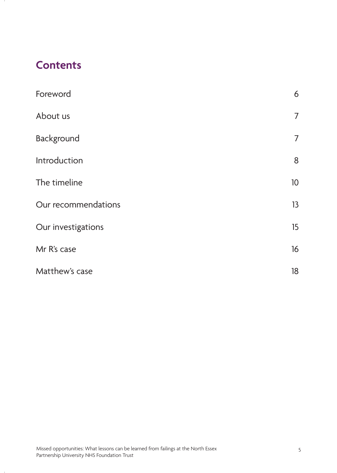# **Contents**

| Foreword            | 6               |
|---------------------|-----------------|
| About us            | $\overline{7}$  |
| Background          | $\overline{7}$  |
| Introduction        | 8               |
| The timeline        | 10 <sup>°</sup> |
| Our recommendations | 13              |
| Our investigations  | 15              |
| Mr R's case         | 16              |
| Matthew's case      | 18              |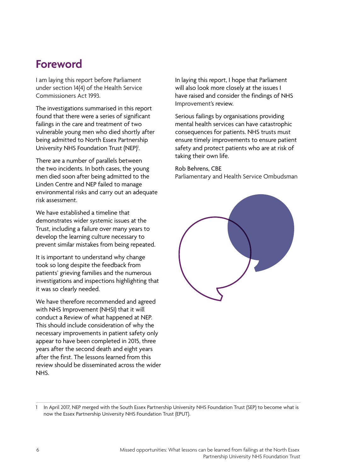### **Foreword**

I am laying this report before Parliament under section 14(4) of the Health Service Commissioners Act 1993.

The investigations summarised in this report found that there were a series of significant failings in the care and treatment of two vulnerable young men who died shortly after being admitted to North Essex Partnership University NHS Foundation Trust (NEP)<sup>1</sup>.

There are a number of parallels between the two incidents. In both cases, the young men died soon after being admitted to the Linden Centre and NEP failed to manage environmental risks and carry out an adequate risk assessment.

We have established a timeline that demonstrates wider systemic issues at the Trust, including a failure over many years to develop the learning culture necessary to prevent similar mistakes from being repeated.

It is important to understand why change took so long despite the feedback from patients' grieving families and the numerous investigations and inspections highlighting that it was so clearly needed.

We have therefore recommended and agreed with NHS Improvement (NHSI) that it will conduct a Review of what happened at NEP. This should include consideration of why the necessary improvements in patient safety only appear to have been completed in 2015, three years after the second death and eight years after the first. The lessons learned from this review should be disseminated across the wider NHS.

In laying this report, I hope that Parliament will also look more closely at the issues I have raised and consider the findings of NHS Improvement's review.

Serious failings by organisations providing mental health services can have catastrophic consequences for patients. NHS trusts must ensure timely improvements to ensure patient safety and protect patients who are at risk of taking their own life.

#### Rob Behrens, CBE

Parliamentary and Health Service Ombudsman



In April 2017, NEP merged with the South Essex Partnership University NHS Foundation Trust (SEP) to become what is now the Essex Partnership University NHS Foundation Trust (EPUT).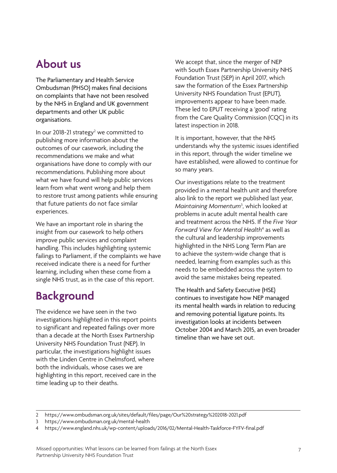## **About us**

The Parliamentary and Health Service Ombudsman (PHSO) makes final decisions on complaints that have not been resolved by the NHS in England and UK government departments and other UK public organisations.

In our 2018-21 strategy<sup>2</sup> we committed to publishing more information about the outcomes of our casework, including the recommendations we make and what organisations have done to comply with our recommendations. Publishing more about what we have found will help public services learn from what went wrong and help them to restore trust among patients while ensuring that future patients do not face similar experiences.

We have an important role in sharing the insight from our casework to help others improve public services and complaint handling. This includes highlighting systemic failings to Parliament, if the complaints we have received indicate there is a need for further learning, including when these come from a single NHS trust, as in the case of this report.

# **Background**

The evidence we have seen in the two investigations highlighted in this report points to significant and repeated failings over more than a decade at the North Essex Partnership University NHS Foundation Trust (NEP). In particular, the investigations highlight issues with the Linden Centre in Chelmsford, where both the individuals, whose cases we are highlighting in this report, received care in the time leading up to their deaths.

We accept that, since the merger of NEP with South Essex Partnership University NHS Foundation Trust (SEP) in April 2017, which saw the formation of the Essex Partnership University NHS Foundation Trust (EPUT), improvements appear to have been made. These led to EPUT receiving a 'good' rating from the Care Quality Commission (CQC) in its latest inspection in 2018.

It is important, however, that the NHS understands why the systemic issues identified in this report, through the wider timeline we have established, were allowed to continue for so many years.

Our investigations relate to the treatment provided in a mental health unit and therefore also link to the report we published last year, *Maintaining Momentum*<sup>3</sup> , which looked at problems in acute adult mental health care and treatment across the NHS. If the *Five Year Forward View for Mental Health*<sup>4</sup> as well as the cultural and leadership improvements highlighted in the NHS Long Term Plan are to achieve the system-wide change that is needed, learning from examples such as this needs to be embedded across the system to avoid the same mistakes being repeated.

The Health and Safety Executive (HSE) continues to investigate how NEP managed its mental health wards in relation to reducing and removing potential ligature points. Its investigation looks at incidents between October 2004 and March 2015, an even broader timeline than we have set out.

<sup>2</sup> <https://www.ombudsman.org.uk/sites/default/files/page/Our%20strategy%202018-2021.pdf>

<sup>3</sup> <https://www.ombudsman.org.uk/mental-health>

<sup>4</sup> <https://www.england.nhs.uk/wp-content/uploads/2016/02/Mental-Health-Taskforce-FYFV-final.pdf>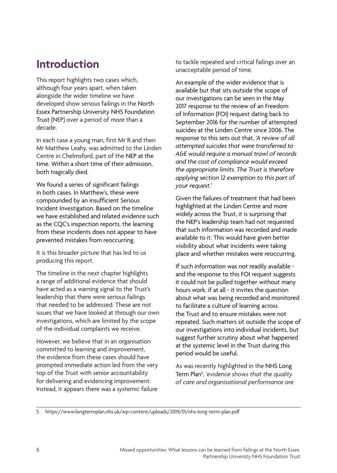# **Introduction**

This report highlights two cases which, although four years apart, when taken alongside the wider timeline we have developed show serious failings in the North Essex Partnership University NHS Foundation Trust (NEP) over a period of more than a decade.

In each case a young man, first Mr R and then Mr Matthew Leahy, was admitted to the Linden Centre in Chelmsford, part of the NEP at the time. Within a short time of their admission, both tragically died.

We found a series of significant failings in both cases. In Matthew's, these were compounded by an insufficient Serious Incident Investigation. Based on the timeline we have established and related evidence such as the CQC's inspection reports, the learning from these incidents does not appear to have prevented mistakes from reoccurring.

It is this broader picture that has led to us producing this report.

The timeline in the next chapter highlights a range of additional evidence that should have acted as a warning signal to the Trust's leadership that there were serious failings that needed to be addressed. These are not issues that we have looked at through our own investigations, which are limited by the scope of the individual complaints we receive.

However, we believe that in an organisation committed to learning and improvement, the evidence from these cases should have prompted immediate action led from the very top of the Trust with senior accountability for delivering and evidencing improvement. Instead, it appears there was a systemic failure

to tackle repeated and critical failings over an unacceptable period of time.

An example of the wider evidence that is available but that sits outside the scope of our investigations can be seen in the May 2017 response to the review of an Freedom of Information (FOI) request dating back to September 2016 for the number of attempted suicides at the Linden Centre since 2006. The response to this sets out that, *'A review of all attempted suicides that were transferred to A&E would require a manual trawl of records and the cost of compliance would exceed the appropriate limits. The Trust is therefore applying section 12 exemption to this part of your request.'* 

Given the failures of treatment that had been highlighted at the Linden Centre and more widely across the Trust, it is surprising that the NEP's leadership team had not requested that such information was recorded and made available to it. This would have given better visibility about what incidents were taking place and whether mistakes were reoccurring.

If such information was not readily available and the response to this FOI request suggests it could not be pulled together without many hours work, if at all - it invites the question about what was being recorded and monitored to facilitate a culture of learning across the Trust and to ensure mistakes were not repeated. Such matters sit outside the scope of our investigations into individual incidents, but suggest further scrutiny about what happened at the systemic level in the Trust during this period would be useful.

As was recently highlighted in the NHS Long Term Plan5 , *'evidence shows that the quality of care and organisational performance are* 

5 <https://www.longtermplan.nhs.uk/wp-content/uploads/2019/01/nhs-long-term-plan.pdf>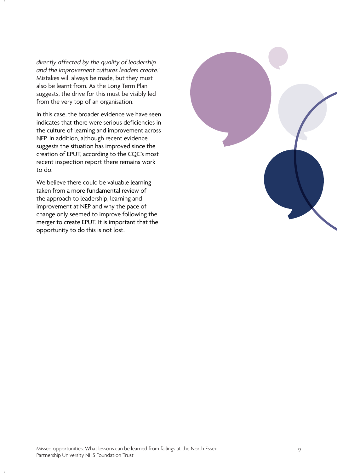*directly affected by the quality of leadership and the improvement cultures leaders create.'* Mistakes will always be made, but they must also be learnt from. As the Long Term Plan suggests, the drive for this must be visibly led from the very top of an organisation.

In this case, the broader evidence we have seen indicates that there were serious deficiencies in the culture of learning and improvement across NEP. In addition, although recent evidence suggests the situation has improved since the creation of EPUT, according to the CQC's most recent inspection report there remains work to do.

We believe there could be valuable learning taken from a more fundamental review of the approach to leadership, learning and improvement at NEP and why the pace of change only seemed to improve following the merger to create EPUT. It is important that the opportunity to do this is not lost.

![](_page_8_Picture_3.jpeg)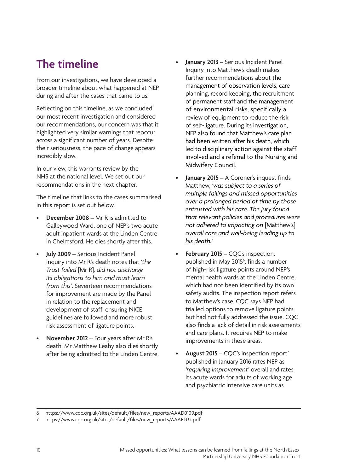# **The timeline**

From our investigations, we have developed a broader timeline about what happened at NEP during and after the cases that came to us.

Reflecting on this timeline, as we concluded our most recent investigation and considered our recommendations, our concern was that it highlighted very similar warnings that reoccur across a significant number of years. Despite their seriousness, the pace of change appears incredibly slow.

In our view, this warrants review by the NHS at the national level. We set out our recommendations in the next chapter.

The timeline that links to the cases summarised in this report is set out below.

- **December 2008** Mr R is admitted to Galleywood Ward, one of NEP's two acute adult inpatient wards at the Linden Centre in Chelmsford. He dies shortly after this.
- **July 2009**  Serious Incident Panel Inquiry into Mr R's death notes that *'the Trust failed* [Mr R]*, did not discharge its obligations to him and must learn from this'*. Seventeen recommendations for improvement are made by the Panel in relation to the replacement and development of staff, ensuring NICE guidelines are followed and more robust risk assessment of ligature points.
- **November 2012** Four years after Mr R's death, Mr Matthew Leahy also dies shortly after being admitted to the Linden Centre.
- led to disciplinary action against the staff **January 2013** – Serious Incident Panel Inquiry into Matthew's death makes further recommendations about the management of observation levels, care planning, record keeping, the recruitment of permanent staff and the management of environmental risks, specifically a review of equipment to reduce the risk of self-ligature. During its investigation, NEP also found that Matthew's care plan had been written after his death, which involved and a referral to the Nursing and Midwifery Council.
- **January 2015**  A Coroner's inquest finds Matthew, *'was subject to a series of multiple failings and missed opportunities over a prolonged period of time by those entrusted with his care. The jury found that relevant policies and procedures were not adhered to impacting on* [Matthew's] *overall care and well-being leading up to his death.'*
- **February 2015** CQC's inspection, published in May 2015<sup>6</sup>, finds a number of high-risk ligature points around NEP's mental health wards at the Linden Centre, which had not been identified by its own safety audits. The inspection report refers to Matthew's case. CQC says NEP had trialled options to remove ligature points but had not fully addressed the issue. CQC also finds a lack of detail in risk assessments and care plans. It requires NEP to make improvements in these areas.
- **August 2015** CQC's inspection report7 published in January 2016 rates NEP as *'requiring improvement'* overall and rates its acute wards for adults of working age and psychiatric intensive care units as

<sup>6</sup> https://www.cqc.org.uk/sites/default/files/new\_reports/AAAD0109.pdf

<sup>7</sup> https://www.cqc.org.uk/sites/default/files/new\_reports/AAAE1332.pdf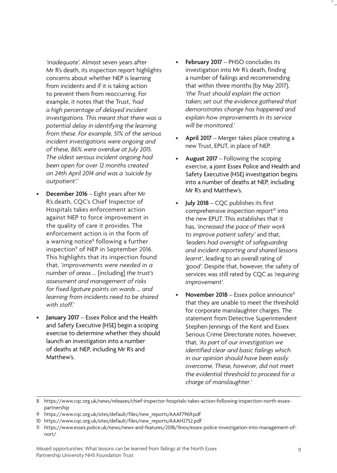*'inadequate'.* Almost seven years after Mr R's death, its inspection report highlights concerns about whether NEP is learning from incidents and if it is taking action to prevent them from reoccurring. For example, it notes that the Trust, *'had a high percentage of delayed incident investigations. This meant that there was a potential delay in identifying the learning from these. For example, 51% of the serious incident investigations were ongoing and of these, 86% were overdue at July 2015. The oldest serious incident ongoing had been open for over 12 months created on 24th April 2014 and was a 'suicide by outpatient'.'* 

- **December 2016** Eight years after Mr R's death, CQC's Chief Inspector of Hospitals takes enforcement action against NEP to force improvement in the quality of care it provides. The enforcement action is in the form of a warning notice<sup>8</sup> following a further inspection<sup>9</sup> of NEP in September 2016. This highlights that its inspection found that, *'improvements were needed in a number of areas …* [including] *the trust's assessment and management of risks for fixed ligature points on wards … and learning from incidents need to be shared with staff.'*
- **January 2017**  Essex Police and the Health and Safety Executive (HSE) begin a scoping exercise to determine whether they should launch an investigation into a number of deaths at NEP, including Mr R's and Matthew's.
- February 2017 PHSO concludes its investigation into Mr R's death, finding a number of failings and recommending that within three months (by May 2017), *'the Trust should explain the action taken; set out the evidence gathered that demonstrates change has happened and explain how improvements in its service will be monitored.'*
- **April 2017** Merger takes place creating a new Trust, EPUT, in place of NEP.
- **August 2017**  Following the scoping exercise, a joint Essex Police and Health and Safety Executive (HSE) investigation begins into a number of deaths at NEP, including Mr R's and Matthew's.
- **July 2018** CQC publishes its first comprehensive inspection report $10$  into the new EPUT. This establishes that it has, *'increased the pace of their work to improve patient safety'* and that, *'leaders had oversight of safeguarding and incident reporting and shared lessons learnt'*, leading to an overall rating of *'good'*. Despite that, however, the safety of services was still rated by CQC as *'requiring improvement'*.
- **November 2018** Essex police announce<sup>11</sup> that they are unable to meet the threshold for corporate manslaughter charges. The statement from Detective Superintendent Stephen Jennings of the Kent and Essex Serious Crime Directorate notes, however, that, *'As part of our investigation we identified clear and basic failings which in our opinion should have been easily overcome. These, however, did not meet the evidential threshold to proceed for a charge of manslaughter.'*

<sup>8</sup> <https://www.cqc.org.uk/news/releases/chief-inspector-hospitals-takes-action-following-inspection-north-essex>partnership

<sup>9</sup> [https://www.cqc.org.uk/sites/default/files/new\\_reports/AAAF7969.pdf](https://www.cqc.org.uk/sites/default/files/new_reports/AAAF7969.pdf)

<sup>10</sup> [https://www.cqc.org.uk/sites/default/files/new\\_reports/AAAH2752.pdf](https://www.cqc.org.uk/sites/default/files/new_reports/AAAH2752.pdf) 

<sup>11</sup> <https://www.essex.police.uk/news/news-and-features/2018/11nov/essex-police-investigation-into-management-of>nort/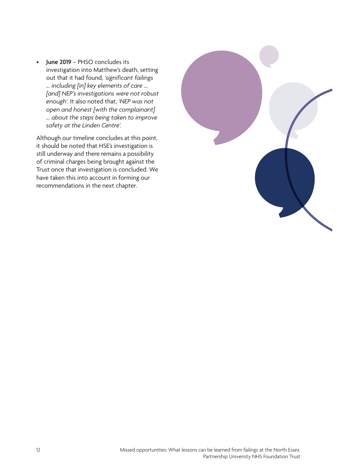• **June 2019** – PHSO concludes its investigation into Matthew's death, setting out that it had found, *'significant failings … including [in] key elements of care … [and] NEP's investigations were not robust enough'.* It also noted that, *'NEP was not open and honest [with the complainant] … about the steps being taken to improve safety at the Linden Centre'.*

Although our timeline concludes at this point, it should be noted that HSE's investigation is still underway and there remains a possibility of criminal charges being brought against the Trust once that investigation is concluded. We have taken this into account in forming our recommendations in the next chapter.

![](_page_11_Picture_2.jpeg)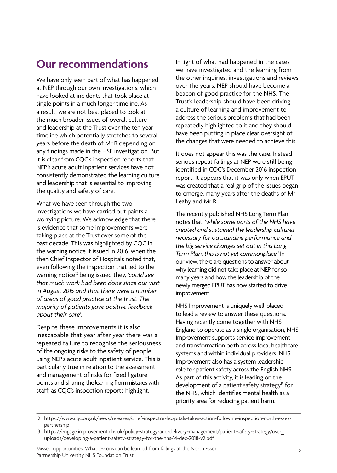# **Our recommendations**

We have only seen part of what has happened at NEP through our own investigations, which have looked at incidents that took place at single points in a much longer timeline. As a result, we are not best placed to look at the much broader issues of overall culture and leadership at the Trust over the ten year timeline which potentially stretches to several years before the death of Mr R depending on any findings made in the HSE investigation. But it is clear from CQC's inspection reports that NEP's acute adult inpatient services have not consistently demonstrated the learning culture and leadership that is essential to improving the quality and safety of care.

What we have seen through the two investigations we have carried out paints a worrying picture. We acknowledge that there is evidence that some improvements were taking place at the Trust over some of the past decade. This was highlighted by CQC in the warning notice it issued in 2016, when the then Chief Inspector of Hospitals noted that, even following the inspection that led to the warning notice12 being issued they, *'could see that much work had been done since our visit in August 2015 and that there were a number of areas of good practice at the trust. The majority of patients gave positive feedback about their care'.* 

Despite these improvements it is also inescapable that year after year there was a repeated failure to recognise the seriousness of the ongoing risks to the safety of people using NEP's acute adult inpatient service. This is particularly true in relation to the assessment and management of risks for fixed ligature points and sharing the learning from mistakes with staff, as CQC's inspection reports highlight.

In light of what had happened in the cases we have investigated and the learning from the other inquiries, investigations and reviews over the years, NEP should have become a beacon of good practice for the NHS. The Trust's leadership should have been driving a culture of learning and improvement to address the serious problems that had been repeatedly highlighted to it and they should have been putting in place clear oversight of the changes that were needed to achieve this.

It does not appear this was the case. Instead serious repeat failings at NEP were still being identified in CQC's December 2016 inspection report. It appears that it was only when EPUT was created that a real grip of the issues began to emerge, many years after the deaths of Mr Leahy and Mr R.

The recently published NHS Long Term Plan notes that, *'while some parts of the NHS have created and sustained the leadership cultures necessary for outstanding performance and the big service changes set out in this Long Term Plan, this is not yet commonplace.'* In our view, there are questions to answer about why learning did not take place at NEP for so many years and how the leadership of the newly merged EPUT has now started to drive improvement.

NHS Improvement is uniquely well-placed to lead a review to answer these questions. Having recently come together with NHS England to operate as a single organisation, NHS Improvement supports service improvement and transformation both across local healthcare systems and within individual providers. NHS Improvement also has a system leadership role for patient safety across the English NHS. As part of this activity, it is leading on the development of a patient safety strategy<sup>13</sup> for the NHS, which identifies mental health as a priority area for reducing patient harm.

Missed opportunities: What lessons can be learned from failings at the North Essex Partnership University NHS Foundation Trust

<sup>12</sup> https://www.cqc.org.uk/news/releases/chief-inspector-hospitals-takes-action-following-inspection-north-essexpartnership

<sup>13</sup> https://engage.improvement.nhs.uk/policy-strategy-and-delivery-management/patient-safety-strategy/user\_ uploads/developing-a-patient-safety-strategy-for-the-nhs-14-dec-2018-v2.pdf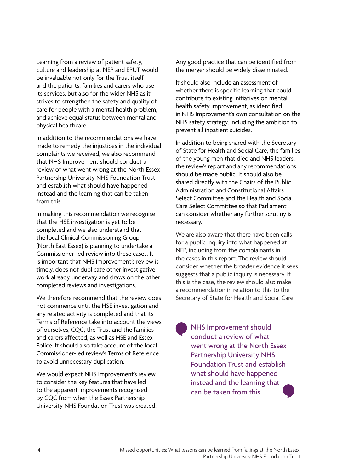Learning from a review of patient safety, culture and leadership at NEP and EPUT would be invaluable not only for the Trust itself and the patients, families and carers who use its services, but also for the wider NHS as it strives to strengthen the safety and quality of care for people with a mental health problem, and achieve equal status between mental and physical healthcare.

In addition to the recommendations we have made to remedy the injustices in the individual complaints we received, we also recommend that NHS Improvement should conduct a review of what went wrong at the North Essex Partnership University NHS Foundation Trust and establish what should have happened instead and the learning that can be taken from this.

In making this recommendation we recognise that the HSE investigation is yet to be completed and we also understand that the local Clinical Commissioning Group (North East Essex) is planning to undertake a Commissioner-led review into these cases. It is important that NHS Improvement's review is timely, does not duplicate other investigative work already underway and draws on the other completed reviews and investigations.

We therefore recommend that the review does not commence until the HSE investigation and any related activity is completed and that its Terms of Reference take into account the views of ourselves, CQC, the Trust and the families and carers affected, as well as HSE and Essex Police. It should also take account of the local Commissioner-led review's Terms of Reference to avoid unnecessary duplication.

We would expect NHS Improvement's review to consider the key features that have led to the apparent improvements recognised by CQC from when the Essex Partnership University NHS Foundation Trust was created. Any good practice that can be identified from the merger should be widely disseminated.

It should also include an assessment of whether there is specific learning that could contribute to existing initiatives on mental health safety improvement, as identified in NHS Improvement's own consultation on the NHS safety strategy, including the ambition to prevent all inpatient suicides.

In addition to being shared with the Secretary of State for Health and Social Care, the families of the young men that died and NHS leaders, the review's report and any recommendations should be made public. It should also be shared directly with the Chairs of the Public Administration and Constitutional Affairs Select Committee and the Health and Social Care Select Committee so that Parliament can consider whether any further scrutiny is necessary.

We are also aware that there have been calls for a public inquiry into what happened at NEP, including from the complainants in the cases in this report. The review should consider whether the broader evidence it sees suggests that a public inquiry is necessary. If this is the case, the review should also make a recommendation in relation to this to the Secretary of State for Health and Social Care.

• NHS Improvement should<br>conduct a review of what<br>went wrong at the North E • conduct a review of what went wrong at the North Essex Partnership University NHS Foundation Trust and establish what should have happened instead and the learning that can be taken from this.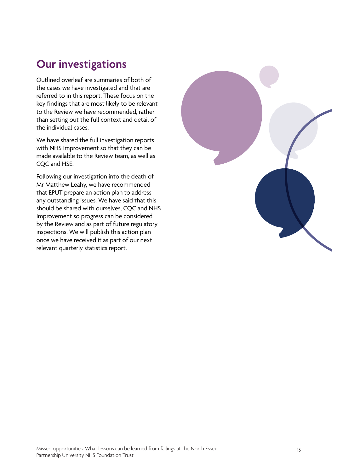# **Our investigations**

Outlined overleaf are summaries of both of the cases we have investigated and that are referred to in this report. These focus on the key findings that are most likely to be relevant to the Review we have recommended, rather than setting out the full context and detail of the individual cases.

We have shared the full investigation reports with NHS Improvement so that they can be made available to the Review team, as well as COC and HSE.

Following our investigation into the death of Mr Matthew Leahy, we have recommended that EPUT prepare an action plan to address any outstanding issues. We have said that this should be shared with ourselves, CQC and NHS Improvement so progress can be considered by the Review and as part of future regulatory inspections. We will publish this action plan once we have received it as part of our next relevant quarterly statistics report.

![](_page_14_Picture_4.jpeg)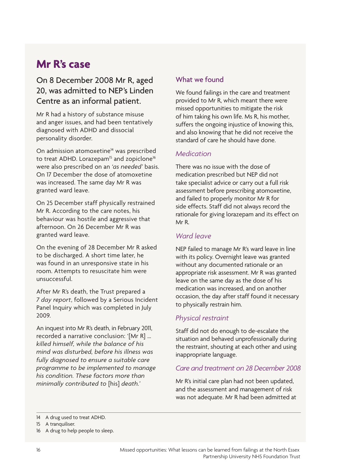# **Mr R's case**

#### On 8 December 2008 Mr R, aged 20, was admitted to NEP's Linden Centre as an informal patient.

Mr R had a history of substance misuse and anger issues, and had been tentatively diagnosed with ADHD and dissocial personality disorder.

On admission atomoxetine<sup>14</sup> was prescribed to treat ADHD. Lorazepam<sup>15</sup> and zopiclone<sup>16</sup> were also prescribed on an *'as needed'* basis. On 17 December the dose of atomoxetine was increased. The same day Mr R was granted ward leave.

On 25 December staff physically restrained Mr R. According to the care notes, his behaviour was hostile and aggressive that afternoon. On 26 December Mr R was granted ward leave.

On the evening of 28 December Mr R asked to be discharged. A short time later, he was found in an unresponsive state in his room. Attempts to resuscitate him were unsuccessful.

After Mr R's death, the Trust prepared a *7 day report*, followed by a Serious Incident Panel Inquiry which was completed in July 2009.

An inquest into Mr R's death, in February 2011, recorded a narrative conclusion: '[Mr R] … *killed himself, while the balance of his mind was disturbed, before his illness was fully diagnosed to ensure a suitable care programme to be implemented to manage his condition. These factors more than minimally contributed to* [his] *death.'* 

#### What we found

We found failings in the care and treatment provided to Mr R, which meant there were missed opportunities to mitigate the risk of him taking his own life. Ms R, his mother, suffers the ongoing injustice of knowing this, and also knowing that he did not receive the standard of care he should have done.

#### *Medication*

There was no issue with the dose of medication prescribed but NEP did not take specialist advice or carry out a full risk assessment before prescribing atomoxetine, and failed to properly monitor Mr R for side effects. Staff did not always record the rationale for giving lorazepam and its effect on Mr R.

#### *Ward leave*

NEP failed to manage Mr R's ward leave in line with its policy. Overnight leave was granted without any documented rationale or an appropriate risk assessment. Mr R was granted leave on the same day as the dose of his medication was increased, and on another occasion, the day after staff found it necessary to physically restrain him.

#### *Physical restraint*

Staff did not do enough to de-escalate the situation and behaved unprofessionally during the restraint, shouting at each other and using inappropriate language.

#### *Care and treatment on 28 December 2008*

Mr R's initial care plan had not been updated, and the assessment and management of risk was not adequate. Mr R had been admitted at

<sup>14</sup> A drug used to treat ADHD.

<sup>15</sup> A tranquiliser.

<sup>16</sup> A drug to help people to sleep.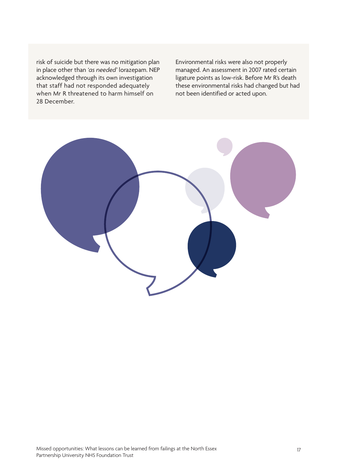risk of suicide but there was no mitigation plan in place other than *'as needed'* lorazepam. NEP acknowledged through its own investigation that staff had not responded adequately when Mr R threatened to harm himself on 28 December.

Environmental risks were also not properly managed. An assessment in 2007 rated certain ligature points as low-risk. Before Mr R's death these environmental risks had changed but had not been identified or acted upon.

![](_page_16_Picture_2.jpeg)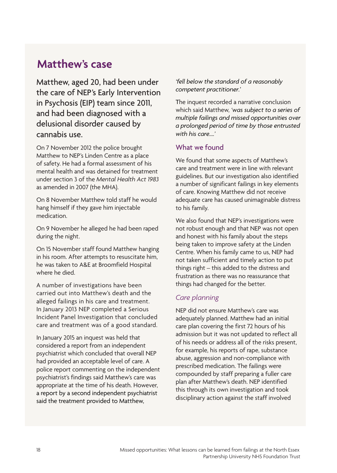### **Matthew's case**

Matthew, aged 20, had been under the care of NEP's Early Intervention in Psychosis (EIP) team since 2011, and had been diagnosed with a delusional disorder caused by cannabis use.

On 7 November 2012 the police brought Matthew to NEP's Linden Centre as a place of safety. He had a formal assessment of his mental health and was detained for treatment under section 3 of the *Mental Health Act 1983* as amended in 2007 (the MHA).

On 8 November Matthew told staff he would hang himself if they gave him injectable medication.

On 9 November he alleged he had been raped during the night.

On 15 November staff found Matthew hanging in his room. After attempts to resuscitate him, he was taken to A&E at Broomfield Hospital where he died.

A number of investigations have been carried out into Matthew's death and the alleged failings in his care and treatment. In January 2013 NEP completed a Serious Incident Panel Investigation that concluded care and treatment was of a good standard.

In January 2015 an inquest was held that considered a report from an independent psychiatrist which concluded that overall NEP had provided an acceptable level of care. A police report commenting on the independent psychiatrist's findings said Matthew's care was appropriate at the time of his death. However, a report by a second independent psychiatrist said the treatment provided to Matthew,

*'fell below the standard of a reasonably competent practitioner.'* 

The inquest recorded a narrative conclusion which said Matthew, *'was subject to a series of multiple failings and missed opportunities over a prolonged period of time by those entrusted with his care….'*

#### What we found

We found that some aspects of Matthew's care and treatment were in line with relevant guidelines. But our investigation also identified a number of significant failings in key elements of care. Knowing Matthew did not receive adequate care has caused unimaginable distress to his family.

We also found that NEP's investigations were not robust enough and that NEP was not open and honest with his family about the steps being taken to improve safety at the Linden Centre. When his family came to us, NEP had not taken sufficient and timely action to put things right – this added to the distress and frustration as there was no reassurance that things had changed for the better.

#### *Care planning*

NEP did not ensure Matthew's care was adequately planned. Matthew had an initial care plan covering the first 72 hours of his admission but it was not updated to reflect all of his needs or address all of the risks present, for example, his reports of rape, substance abuse, aggression and non-compliance with prescribed medication. The failings were compounded by staff preparing a fuller care plan after Matthew's death. NEP identified this through its own investigation and took disciplinary action against the staff involved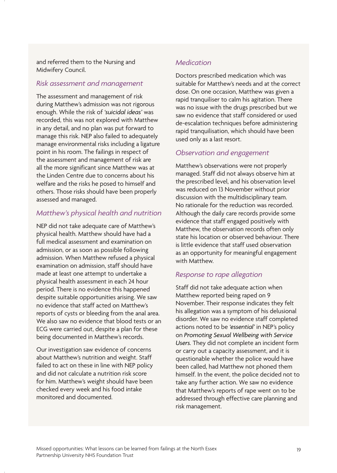and referred them to the Nursing and Midwifery Council.

#### *Risk assessment and management*

The assessment and management of risk during Matthew's admission was not rigorous enough. While the risk of *'suicidal ideas'* was recorded, this was not explored with Matthew in any detail, and no plan was put forward to manage this risk. NEP also failed to adequately manage environmental risks including a ligature point in his room. The failings in respect of the assessment and management of risk are all the more significant since Matthew was at the Linden Centre due to concerns about his welfare and the risks he posed to himself and others. Those risks should have been properly assessed and managed.

#### *Matthew's physical health and nutrition*

NEP did not take adequate care of Matthew's physical health. Matthew should have had a full medical assessment and examination on admission, or as soon as possible following admission. When Matthew refused a physical examination on admission, staff should have made at least one attempt to undertake a physical health assessment in each 24 hour period. There is no evidence this happened despite suitable opportunities arising. We saw no evidence that staff acted on Matthew's reports of cysts or bleeding from the anal area. We also saw no evidence that blood tests or an ECG were carried out, despite a plan for these being documented in Matthew's records.

Our investigation saw evidence of concerns about Matthew's nutrition and weight. Staff failed to act on these in line with NEP policy and did not calculate a nutrition risk score for him. Matthew's weight should have been checked every week and his food intake monitored and documented.

#### *Medication*

Doctors prescribed medication which was suitable for Matthew's needs and at the correct dose. On one occasion, Matthew was given a rapid tranquiliser to calm his agitation. There was no issue with the drugs prescribed but we saw no evidence that staff considered or used de-escalation techniques before administering rapid tranquilisation, which should have been used only as a last resort.

#### *Observation and engagement*

Matthew's observations were not properly managed. Staff did not always observe him at the prescribed level, and his observation level was reduced on 13 November without prior discussion with the multidisciplinary team. No rationale for the reduction was recorded. Although the daily care records provide some evidence that staff engaged positively with Matthew, the observation records often only state his location or observed behaviour. There is little evidence that staff used observation as an opportunity for meaningful engagement with Matthew.

#### *Response to rape allegation*

Staff did not take adequate action when Matthew reported being raped on 9 November. Their response indicates they felt his allegation was a symptom of his delusional disorder. We saw no evidence staff completed actions noted to be *'essential'* in NEP's policy on *Promoting Sexual Wellbeing with Service Users.* They did not complete an incident form or carry out a capacity assessment, and it is questionable whether the police would have been called, had Matthew not phoned them himself. In the event, the police decided not to take any further action. We saw no evidence that Matthew's reports of rape went on to be addressed through effective care planning and risk management.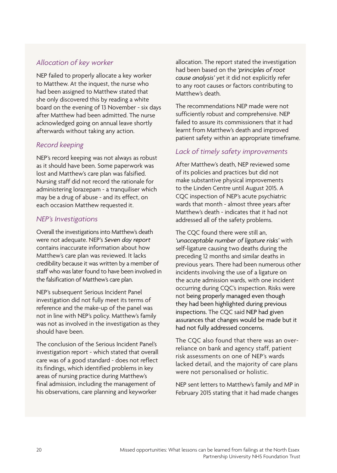#### *Allocation of key worker*

NEP failed to properly allocate a key worker to Matthew. At the inquest, the nurse who had been assigned to Matthew stated that she only discovered this by reading a white board on the evening of 13 November - six days after Matthew had been admitted. The nurse acknowledged going on annual leave shortly afterwards without taking any action.

#### *Record keeping*

NEP's record keeping was not always as robust as it should have been. Some paperwork was lost and Matthew's care plan was falsified. Nursing staff did not record the rationale for administering lorazepam - a tranquiliser which may be a drug of abuse - and its effect, on each occasion Matthew requested it.

#### *NEP's Investigations*

Overall the investigations into Matthew's death were not adequate. NEP's *Seven day report*  contains inaccurate information about how Matthew's care plan was reviewed. It lacks credibility because it was written by a member of staff who was later found to have been involved in the falsification of Matthew's care plan.

NEP's subsequent Serious Incident Panel investigation did not fully meet its terms of reference and the make-up of the panel was not in line with NEP's policy. Matthew's family was not as involved in the investigation as they should have been.

The conclusion of the Serious Incident Panel's investigation report - which stated that overall care was of a good standard - does not reflect its findings, which identified problems in key areas of nursing practice during Matthew's final admission, including the management of his observations, care planning and keyworker

allocation. The report stated the investigation had been based on the *'principles of root cause analysis'* yet it did not explicitly refer to any root causes or factors contributing to Matthew's death.

The recommendations NEP made were not sufficiently robust and comprehensive. NEP failed to assure its commissioners that it had learnt from Matthew's death and improved patient safety within an appropriate timeframe.

#### *Lack of timely safety improvements*

After Matthew's death, NEP reviewed some of its policies and practices but did not make substantive physical improvements to the Linden Centre until August 2015. A CQC inspection of NEP's acute psychiatric wards that month - almost three years after Matthew's death - indicates that it had not addressed all of the safety problems.

The CQC found there were still an, *'unacceptable number of ligature risks'* with self-ligature causing two deaths during the preceding 12 months and similar deaths in previous years. There had been numerous other incidents involving the use of a ligature on the acute admission wards, with one incident occurring during CQC's inspection. Risks were not being properly managed even though they had been highlighted during previous inspections. The CQC said NEP had given assurances that changes would be made but it had not fully addressed concerns.

The CQC also found that there was an overreliance on bank and agency staff, patient risk assessments on one of NEP's wards lacked detail, and the majority of care plans were not personalised or holistic.

NEP sent letters to Matthew's family and MP in February 2015 stating that it had made changes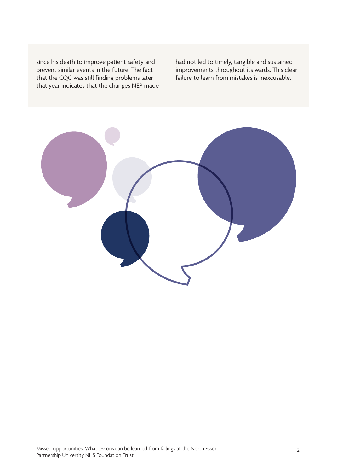since his death to improve patient safety and prevent similar events in the future. The fact that the CQC was still finding problems later that year indicates that the changes NEP made

had not led to timely, tangible and sustained improvements throughout its wards. This clear failure to learn from mistakes is inexcusable.

![](_page_20_Figure_2.jpeg)